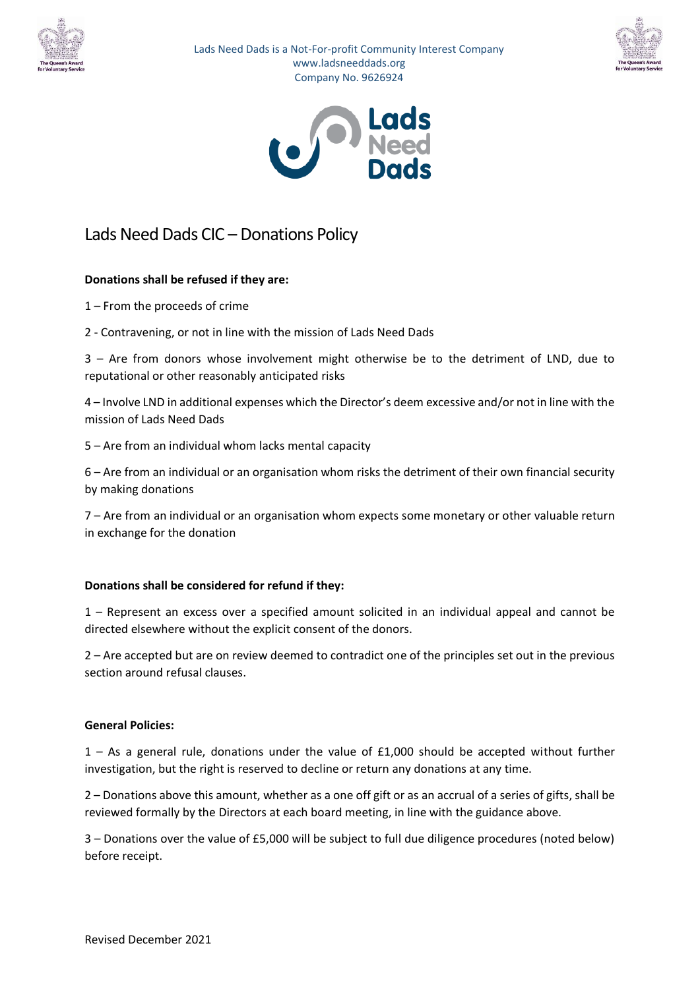

Lads Need Dads is a Not-For-profit Community Interest Company www.ladsneeddads.org Company No. 9626924





# Lads Need Dads CIC – Donations Policy

### **Donations shall be refused if they are:**

- 1 From the proceeds of crime
- 2 Contravening, or not in line with the mission of Lads Need Dads

3 – Are from donors whose involvement might otherwise be to the detriment of LND, due to reputational or other reasonably anticipated risks

4 – Involve LND in additional expenses which the Director's deem excessive and/or not in line with the mission of Lads Need Dads

5 – Are from an individual whom lacks mental capacity

6 – Are from an individual or an organisation whom risks the detriment of their own financial security by making donations

7 – Are from an individual or an organisation whom expects some monetary or other valuable return in exchange for the donation

#### **Donations shall be considered for refund if they:**

1 – Represent an excess over a specified amount solicited in an individual appeal and cannot be directed elsewhere without the explicit consent of the donors.

2 – Are accepted but are on review deemed to contradict one of the principles set out in the previous section around refusal clauses.

#### **General Policies:**

1 – As a general rule, donations under the value of £1,000 should be accepted without further investigation, but the right is reserved to decline or return any donations at any time.

2 – Donations above this amount, whether as a one off gift or as an accrual of a series of gifts, shall be reviewed formally by the Directors at each board meeting, in line with the guidance above.

3 – Donations over the value of £5,000 will be subject to full due diligence procedures (noted below) before receipt.